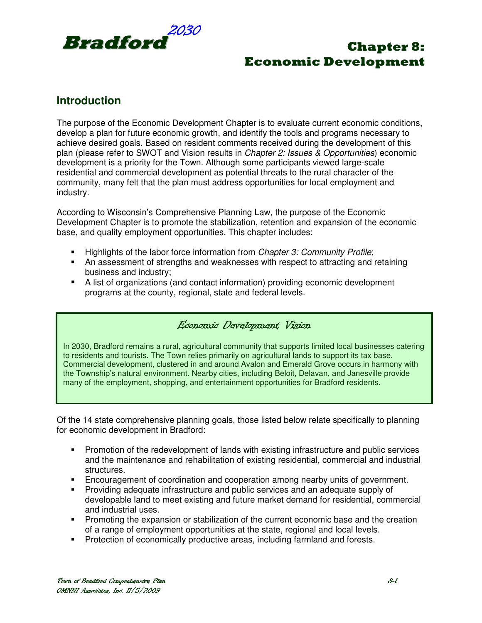

## **Introduction**

The purpose of the Economic Development Chapter is to evaluate current economic conditions, develop a plan for future economic growth, and identify the tools and programs necessary to achieve desired goals. Based on resident comments received during the development of this plan (please refer to SWOT and Vision results in Chapter 2: Issues & Opportunities) economic development is a priority for the Town. Although some participants viewed large-scale residential and commercial development as potential threats to the rural character of the community, many felt that the plan must address opportunities for local employment and industry.

According to Wisconsin's Comprehensive Planning Law, the purpose of the Economic Development Chapter is to promote the stabilization, retention and expansion of the economic base, and quality employment opportunities. This chapter includes:

- **Highlights of the labor force information from Chapter 3: Community Profile;**
- An assessment of strengths and weaknesses with respect to attracting and retaining business and industry;
- A list of organizations (and contact information) providing economic development programs at the county, regional, state and federal levels.

#### Economic Development Vision

In 2030, Bradford remains a rural, agricultural community that supports limited local businesses catering to residents and tourists. The Town relies primarily on agricultural lands to support its tax base. Commercial development, clustered in and around Avalon and Emerald Grove occurs in harmony with the Township's natural environment. Nearby cities, including Beloit, Delavan, and Janesville provide many of the employment, shopping, and entertainment opportunities for Bradford residents.

Of the 14 state comprehensive planning goals, those listed below relate specifically to planning for economic development in Bradford:

- Promotion of the redevelopment of lands with existing infrastructure and public services and the maintenance and rehabilitation of existing residential, commercial and industrial structures.
- Encouragement of coordination and cooperation among nearby units of government.
- Providing adequate infrastructure and public services and an adequate supply of developable land to meet existing and future market demand for residential, commercial and industrial uses.
- **Promoting the expansion or stabilization of the current economic base and the creation** of a range of employment opportunities at the state, regional and local levels.
- **Protection of economically productive areas, including farmland and forests.**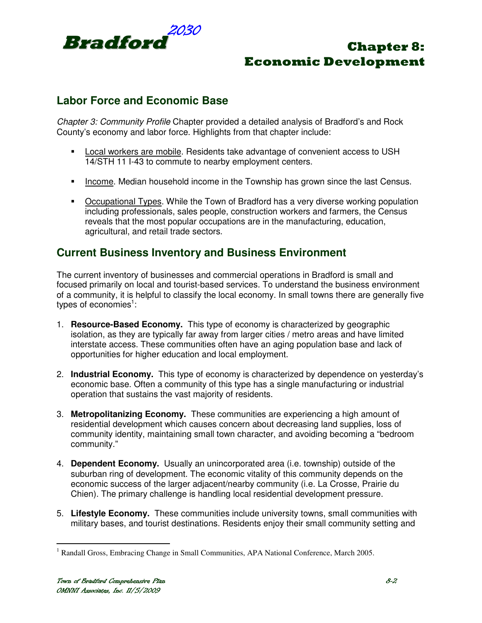

## **Labor Force and Economic Base**

Chapter 3: Community Profile Chapter provided a detailed analysis of Bradford's and Rock County's economy and labor force. Highlights from that chapter include:

- Local workers are mobile. Residents take advantage of convenient access to USH 14/STH 11 I-43 to commute to nearby employment centers.
- Income. Median household income in the Township has grown since the last Census.
- Occupational Types. While the Town of Bradford has a very diverse working population including professionals, sales people, construction workers and farmers, the Census reveals that the most popular occupations are in the manufacturing, education, agricultural, and retail trade sectors.

### **Current Business Inventory and Business Environment**

The current inventory of businesses and commercial operations in Bradford is small and focused primarily on local and tourist-based services. To understand the business environment of a community, it is helpful to classify the local economy. In small towns there are generally five types of economies<sup>1</sup>:

- 1. **Resource-Based Economy.** This type of economy is characterized by geographic isolation, as they are typically far away from larger cities / metro areas and have limited interstate access. These communities often have an aging population base and lack of opportunities for higher education and local employment.
- 2. **Industrial Economy.** This type of economy is characterized by dependence on yesterday's economic base. Often a community of this type has a single manufacturing or industrial operation that sustains the vast majority of residents.
- 3. **Metropolitanizing Economy.** These communities are experiencing a high amount of residential development which causes concern about decreasing land supplies, loss of community identity, maintaining small town character, and avoiding becoming a "bedroom community."
- 4. **Dependent Economy.** Usually an unincorporated area (i.e. township) outside of the suburban ring of development. The economic vitality of this community depends on the economic success of the larger adjacent/nearby community (i.e. La Crosse, Prairie du Chien). The primary challenge is handling local residential development pressure.
- 5. **Lifestyle Economy.** These communities include university towns, small communities with military bases, and tourist destinations. Residents enjoy their small community setting and

 1 Randall Gross, Embracing Change in Small Communities, APA National Conference, March 2005.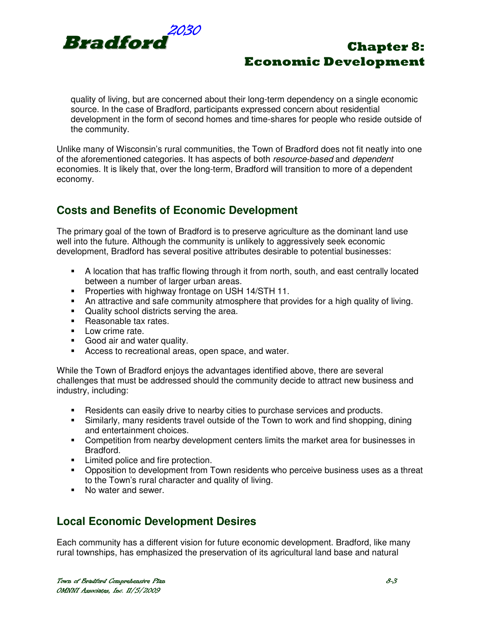

quality of living, but are concerned about their long-term dependency on a single economic source. In the case of Bradford, participants expressed concern about residential development in the form of second homes and time-shares for people who reside outside of the community.

Unlike many of Wisconsin's rural communities, the Town of Bradford does not fit neatly into one of the aforementioned categories. It has aspects of both resource-based and dependent economies. It is likely that, over the long-term, Bradford will transition to more of a dependent economy.

## **Costs and Benefits of Economic Development**

The primary goal of the town of Bradford is to preserve agriculture as the dominant land use well into the future. Although the community is unlikely to aggressively seek economic development, Bradford has several positive attributes desirable to potential businesses:

- A location that has traffic flowing through it from north, south, and east centrally located between a number of larger urban areas.
- **Properties with highway frontage on USH 14/STH 11.**
- An attractive and safe community atmosphere that provides for a high quality of living.
- **Quality school districts serving the area.**
- Reasonable tax rates.
- **Low crime rate.**
- Good air and water quality.
- Access to recreational areas, open space, and water.

While the Town of Bradford enjoys the advantages identified above, there are several challenges that must be addressed should the community decide to attract new business and industry, including:

- Residents can easily drive to nearby cities to purchase services and products.
- Similarly, many residents travel outside of the Town to work and find shopping, dining and entertainment choices.
- Competition from nearby development centers limits the market area for businesses in Bradford.
- **EXECUTE:** Limited police and fire protection.
- Opposition to development from Town residents who perceive business uses as a threat to the Town's rural character and quality of living.
- No water and sewer.

## **Local Economic Development Desires**

Each community has a different vision for future economic development. Bradford, like many rural townships, has emphasized the preservation of its agricultural land base and natural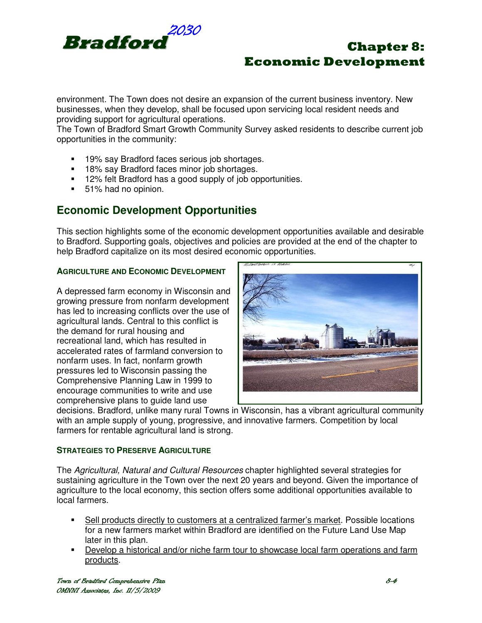

environment. The Town does not desire an expansion of the current business inventory. New businesses, when they develop, shall be focused upon servicing local resident needs and providing support for agricultural operations.

The Town of Bradford Smart Growth Community Survey asked residents to describe current job opportunities in the community:

- 19% say Bradford faces serious job shortages.
- **18% say Bradford faces minor job shortages.**
- 12% felt Bradford has a good supply of job opportunities.
- 51% had no opinion.

## **Economic Development Opportunities**

This section highlights some of the economic development opportunities available and desirable to Bradford. Supporting goals, objectives and policies are provided at the end of the chapter to help Bradford capitalize on its most desired economic opportunities.

#### **AGRICULTURE AND ECONOMIC DEVELOPMENT**

A depressed farm economy in Wisconsin and growing pressure from nonfarm development has led to increasing conflicts over the use of agricultural lands. Central to this conflict is the demand for rural housing and recreational land, which has resulted in accelerated rates of farmland conversion to nonfarm uses. In fact, nonfarm growth pressures led to Wisconsin passing the Comprehensive Planning Law in 1999 to encourage communities to write and use comprehensive plans to guide land use



decisions. Bradford, unlike many rural Towns in Wisconsin, has a vibrant agricultural community with an ample supply of young, progressive, and innovative farmers. Competition by local farmers for rentable agricultural land is strong.

#### **STRATEGIES TO PRESERVE AGRICULTURE**

The Agricultural, Natural and Cultural Resources chapter highlighted several strategies for sustaining agriculture in the Town over the next 20 years and beyond. Given the importance of agriculture to the local economy, this section offers some additional opportunities available to local farmers.

- Sell products directly to customers at a centralized farmer's market. Possible locations for a new farmers market within Bradford are identified on the Future Land Use Map later in this plan.
- Develop a historical and/or niche farm tour to showcase local farm operations and farm products.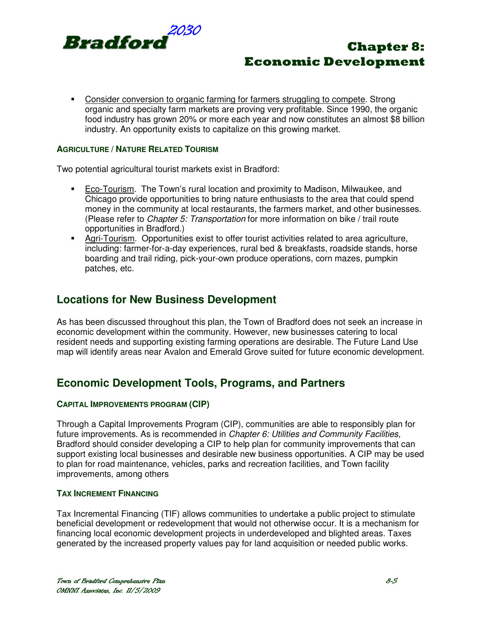

 Consider conversion to organic farming for farmers struggling to compete. Strong organic and specialty farm markets are proving very profitable. Since 1990, the organic food industry has grown 20% or more each year and now constitutes an almost \$8 billion industry. An opportunity exists to capitalize on this growing market.

#### **AGRICULTURE / NATURE RELATED TOURISM**

Two potential agricultural tourist markets exist in Bradford:

- Eco-Tourism. The Town's rural location and proximity to Madison, Milwaukee, and Chicago provide opportunities to bring nature enthusiasts to the area that could spend money in the community at local restaurants, the farmers market, and other businesses. (Please refer to Chapter 5: Transportation for more information on bike / trail route opportunities in Bradford.)
- Agri-Tourism. Opportunities exist to offer tourist activities related to area agriculture, including: farmer-for-a-day experiences, rural bed & breakfasts, roadside stands, horse boarding and trail riding, pick-your-own produce operations, corn mazes, pumpkin patches, etc.

### **Locations for New Business Development**

As has been discussed throughout this plan, the Town of Bradford does not seek an increase in economic development within the community. However, new businesses catering to local resident needs and supporting existing farming operations are desirable. The Future Land Use map will identify areas near Avalon and Emerald Grove suited for future economic development.

### **Economic Development Tools, Programs, and Partners**

#### **CAPITAL IMPROVEMENTS PROGRAM (CIP)**

Through a Capital Improvements Program (CIP), communities are able to responsibly plan for future improvements. As is recommended in Chapter 6: Utilities and Community Facilities, Bradford should consider developing a CIP to help plan for community improvements that can support existing local businesses and desirable new business opportunities. A CIP may be used to plan for road maintenance, vehicles, parks and recreation facilities, and Town facility improvements, among others

#### **TAX INCREMENT FINANCING**

Tax Incremental Financing (TIF) allows communities to undertake a public project to stimulate beneficial development or redevelopment that would not otherwise occur. It is a mechanism for financing local economic development projects in underdeveloped and blighted areas. Taxes generated by the increased property values pay for land acquisition or needed public works.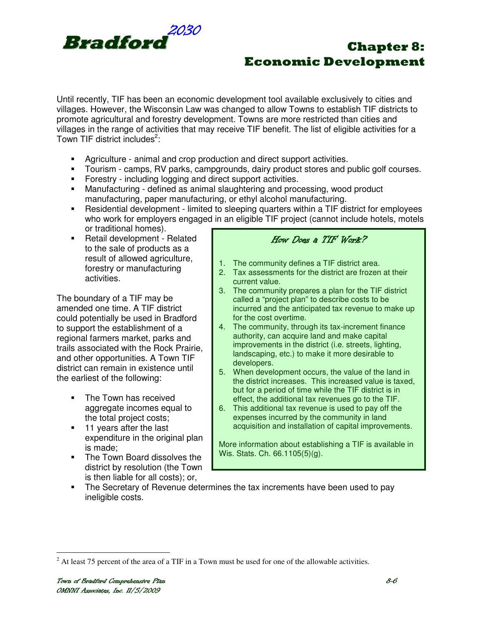

Until recently, TIF has been an economic development tool available exclusively to cities and villages. However, the Wisconsin Law was changed to allow Towns to establish TIF districts to promote agricultural and forestry development. Towns are more restricted than cities and villages in the range of activities that may receive TIF benefit. The list of eligible activities for a Town TIF district includes<sup>2</sup>:

- Agriculture animal and crop production and direct support activities.
- Tourism camps, RV parks, campgrounds, dairy product stores and public golf courses.
- Forestry including logging and direct support activities.
- Manufacturing defined as animal slaughtering and processing, wood product manufacturing, paper manufacturing, or ethyl alcohol manufacturing.
- Residential development limited to sleeping quarters within a TIF district for employees who work for employers engaged in an eligible TIF project (cannot include hotels, motels or traditional homes).
- Retail development Related to the sale of products as a result of allowed agriculture, forestry or manufacturing activities.

The boundary of a TIF may be amended one time. A TIF district could potentially be used in Bradford to support the establishment of a regional farmers market, parks and trails associated with the Rock Prairie, and other opportunities. A Town TIF district can remain in existence until the earliest of the following:

- The Town has received aggregate incomes equal to the total project costs;
- **11 years after the last** expenditure in the original plan is made;
- **The Town Board dissolves the** district by resolution (the Town is then liable for all costs); or,

### How Does a TIF Work?

- 1. The community defines a TIF district area.
- 2. Tax assessments for the district are frozen at their current value.
- 3. The community prepares a plan for the TIF district called a "project plan" to describe costs to be incurred and the anticipated tax revenue to make up for the cost overtime.
- 4. The community, through its tax-increment finance authority, can acquire land and make capital improvements in the district (i.e. streets, lighting, landscaping, etc.) to make it more desirable to developers.
- 5. When development occurs, the value of the land in the district increases. This increased value is taxed, but for a period of time while the TIF district is in effect, the additional tax revenues go to the TIF.
- 6. This additional tax revenue is used to pay off the expenses incurred by the community in land acquisition and installation of capital improvements.

More information about establishing a TIF is available in Wis. Stats. Ch. 66.1105(5)(g).

 The Secretary of Revenue determines the tax increments have been used to pay ineligible costs.

 $\overline{a}$  $2^2$  At least 75 percent of the area of a TIF in a Town must be used for one of the allowable activities.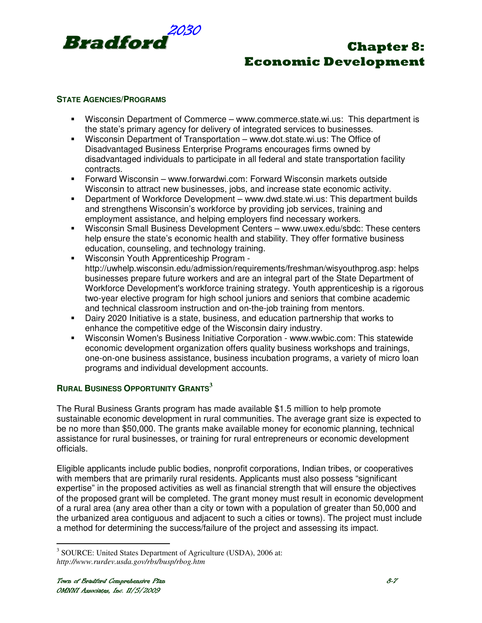

#### **STATE AGENCIES/PROGRAMS**

- Wisconsin Department of Commerce www.commerce.state.wi.us: This department is the state's primary agency for delivery of integrated services to businesses.
- Wisconsin Department of Transportation www.dot.state.wi.us: The Office of Disadvantaged Business Enterprise Programs encourages firms owned by disadvantaged individuals to participate in all federal and state transportation facility contracts.
- Forward Wisconsin www.forwardwi.com: Forward Wisconsin markets outside Wisconsin to attract new businesses, jobs, and increase state economic activity.
- Department of Workforce Development www.dwd.state.wi.us: This department builds and strengthens Wisconsin's workforce by providing job services, training and employment assistance, and helping employers find necessary workers.
- Wisconsin Small Business Development Centers www.uwex.edu/sbdc: These centers help ensure the state's economic health and stability. They offer formative business education, counseling, and technology training.
- Wisconsin Youth Apprenticeship Program http://uwhelp.wisconsin.edu/admission/requirements/freshman/wisyouthprog.asp: helps businesses prepare future workers and are an integral part of the State Department of Workforce Development's workforce training strategy. Youth apprenticeship is a rigorous two-year elective program for high school juniors and seniors that combine academic and technical classroom instruction and on-the-job training from mentors.
- Dairy 2020 Initiative is a state, business, and education partnership that works to enhance the competitive edge of the Wisconsin dairy industry.
- Wisconsin Women's Business Initiative Corporation www.wwbic.com: This statewide economic development organization offers quality business workshops and trainings, one-on-one business assistance, business incubation programs, a variety of micro loan programs and individual development accounts.

#### **<sup>R</sup>URAL BUSINESS OPPORTUNITY GRANTS<sup>3</sup>**

The Rural Business Grants program has made available \$1.5 million to help promote sustainable economic development in rural communities. The average grant size is expected to be no more than \$50,000. The grants make available money for economic planning, technical assistance for rural businesses, or training for rural entrepreneurs or economic development officials.

Eligible applicants include public bodies, nonprofit corporations, Indian tribes, or cooperatives with members that are primarily rural residents. Applicants must also possess "significant expertise" in the proposed activities as well as financial strength that will ensure the objectives of the proposed grant will be completed. The grant money must result in economic development of a rural area (any area other than a city or town with a population of greater than 50,000 and the urbanized area contiguous and adjacent to such a cities or towns). The project must include a method for determining the success/failure of the project and assessing its impact.

 3 SOURCE: United States Department of Agriculture (USDA), 2006 at: *http://www.rurdev.usda.gov/rbs/busp/rbog.htm*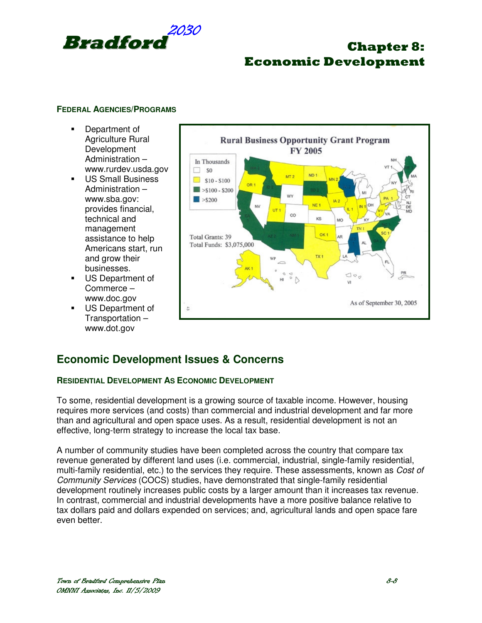

#### **FEDERAL AGENCIES/PROGRAMS**

- **Department of** Agriculture Rural **Development** Administration – www.rurdev.usda.gov
- **US Small Business** Administration – www.sba.gov: provides financial, technical and management assistance to help Americans start, run and grow their businesses.
- **US Department of** Commerce – www.doc.gov
- **US Department of** Transportation – www.dot.gov



### **Economic Development Issues & Concerns**

#### **RESIDENTIAL DEVELOPMENT AS ECONOMIC DEVELOPMENT**

To some, residential development is a growing source of taxable income. However, housing requires more services (and costs) than commercial and industrial development and far more than and agricultural and open space uses. As a result, residential development is not an effective, long-term strategy to increase the local tax base.

A number of community studies have been completed across the country that compare tax revenue generated by different land uses (i.e. commercial, industrial, single-family residential, multi-family residential, etc.) to the services they require. These assessments, known as Cost of Community Services (COCS) studies, have demonstrated that single-family residential development routinely increases public costs by a larger amount than it increases tax revenue. In contrast, commercial and industrial developments have a more positive balance relative to tax dollars paid and dollars expended on services; and, agricultural lands and open space fare even better.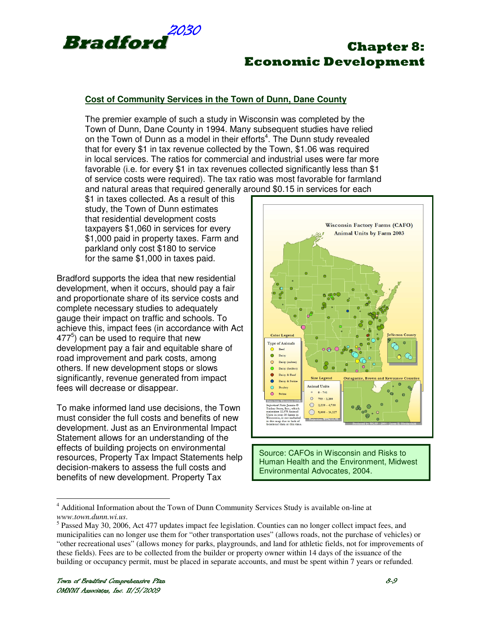

#### **Cost of Community Services in the Town of Dunn, Dane County**

The premier example of such a study in Wisconsin was completed by the Town of Dunn, Dane County in 1994. Many subsequent studies have relied on the Town of Dunn as a model in their efforts<sup>4</sup>. The Dunn study revealed that for every \$1 in tax revenue collected by the Town, \$1.06 was required in local services. The ratios for commercial and industrial uses were far more favorable (i.e. for every \$1 in tax revenues collected significantly less than \$1 of service costs were required). The tax ratio was most favorable for farmland and natural areas that required generally around \$0.15 in services for each

\$1 in taxes collected. As a result of this study, the Town of Dunn estimates that residential development costs taxpayers \$1,060 in services for every \$1,000 paid in property taxes. Farm and parkland only cost \$180 to service for the same \$1,000 in taxes paid.

Bradford supports the idea that new residential development, when it occurs, should pay a fair and proportionate share of its service costs and complete necessary studies to adequately gauge their impact on traffic and schools. To achieve this, impact fees (in accordance with Act  $477<sup>5</sup>$ ) can be used to require that new development pay a fair and equitable share of road improvement and park costs, among others. If new development stops or slows significantly, revenue generated from impact fees will decrease or disappear.

To make informed land use decisions, the Town must consider the full costs and benefits of new development. Just as an Environmental Impact Statement allows for an understanding of the effects of building projects on environmental resources, Property Tax Impact Statements help decision-makers to assess the full costs and benefits of new development. Property Tax



Source: CAFOs in Wisconsin and Risks to Human Health and the Environment, Midwest Environmental Advocates, 2004.

 $\overline{a}$ 

<sup>&</sup>lt;sup>4</sup> Additional Information about the Town of Dunn Community Services Study is available on-line at *www.town.dunn.wi.us*.

<sup>&</sup>lt;sup>5</sup> Passed May 30, 2006, Act 477 updates impact fee legislation. Counties can no longer collect impact fees, and municipalities can no longer use them for "other transportation uses" (allows roads, not the purchase of vehicles) or "other recreational uses" (allows money for parks, playgrounds, and land for athletic fields, not for improvements of these fields). Fees are to be collected from the builder or property owner within 14 days of the issuance of the building or occupancy permit, must be placed in separate accounts, and must be spent within 7 years or refunded.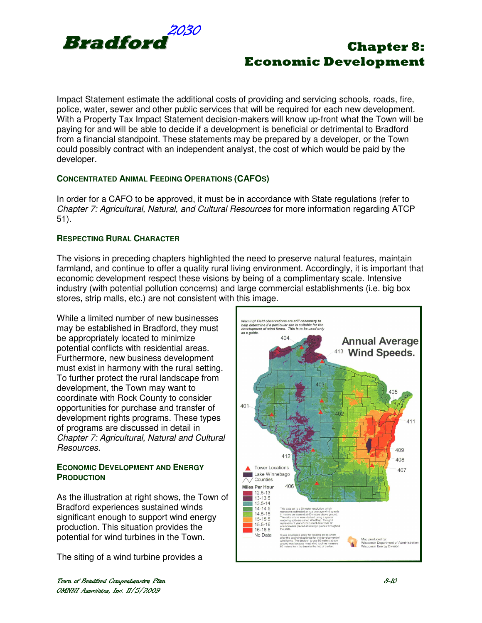

Impact Statement estimate the additional costs of providing and servicing schools, roads, fire, police, water, sewer and other public services that will be required for each new development. With a Property Tax Impact Statement decision-makers will know up-front what the Town will be paying for and will be able to decide if a development is beneficial or detrimental to Bradford from a financial standpoint. These statements may be prepared by a developer, or the Town could possibly contract with an independent analyst, the cost of which would be paid by the developer.

#### **CONCENTRATED ANIMAL FEEDING OPERATIONS (CAFOS)**

In order for a CAFO to be approved, it must be in accordance with State regulations (refer to Chapter 7: Agricultural, Natural, and Cultural Resources for more information regarding ATCP 51).

#### **RESPECTING RURAL CHARACTER**

The visions in preceding chapters highlighted the need to preserve natural features, maintain farmland, and continue to offer a quality rural living environment. Accordingly, it is important that economic development respect these visions by being of a complimentary scale. Intensive industry (with potential pollution concerns) and large commercial establishments (i.e. big box stores, strip malls, etc.) are not consistent with this image.

While a limited number of new businesses may be established in Bradford, they must be appropriately located to minimize potential conflicts with residential areas. Furthermore, new business development must exist in harmony with the rural setting. To further protect the rural landscape from development, the Town may want to coordinate with Rock County to consider opportunities for purchase and transfer of development rights programs. These types of programs are discussed in detail in Chapter 7: Agricultural, Natural and Cultural Resources.

#### **ECONOMIC DEVELOPMENT AND ENERGY PRODUCTION**

As the illustration at right shows, the Town of Bradford experiences sustained winds significant enough to support wind energy production. This situation provides the potential for wind turbines in the Town.

The siting of a wind turbine provides a

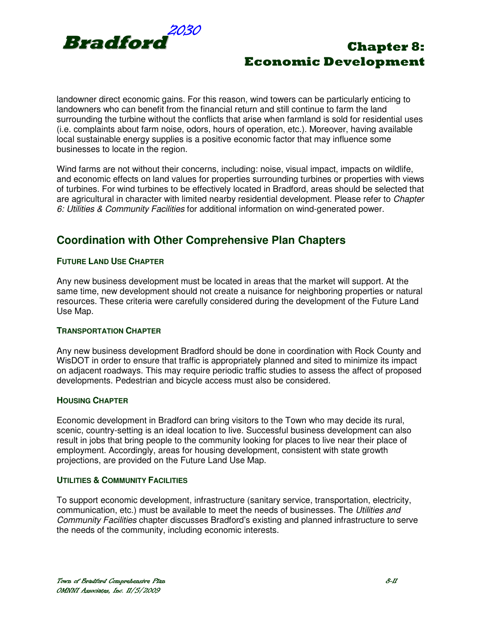

landowner direct economic gains. For this reason, wind towers can be particularly enticing to landowners who can benefit from the financial return and still continue to farm the land surrounding the turbine without the conflicts that arise when farmland is sold for residential uses (i.e. complaints about farm noise, odors, hours of operation, etc.). Moreover, having available local sustainable energy supplies is a positive economic factor that may influence some businesses to locate in the region.

Wind farms are not without their concerns, including: noise, visual impact, impacts on wildlife, and economic effects on land values for properties surrounding turbines or properties with views of turbines. For wind turbines to be effectively located in Bradford, areas should be selected that are agricultural in character with limited nearby residential development. Please refer to Chapter 6: Utilities & Community Facilities for additional information on wind-generated power.

## **Coordination with Other Comprehensive Plan Chapters**

#### **FUTURE LAND USE CHAPTER**

Any new business development must be located in areas that the market will support. At the same time, new development should not create a nuisance for neighboring properties or natural resources. These criteria were carefully considered during the development of the Future Land Use Map.

#### **TRANSPORTATION CHAPTER**

Any new business development Bradford should be done in coordination with Rock County and WisDOT in order to ensure that traffic is appropriately planned and sited to minimize its impact on adjacent roadways. This may require periodic traffic studies to assess the affect of proposed developments. Pedestrian and bicycle access must also be considered.

#### **HOUSING CHAPTER**

Economic development in Bradford can bring visitors to the Town who may decide its rural, scenic, country-setting is an ideal location to live. Successful business development can also result in jobs that bring people to the community looking for places to live near their place of employment. Accordingly, areas for housing development, consistent with state growth projections, are provided on the Future Land Use Map.

#### **UTILITIES & COMMUNITY FACILITIES**

To support economic development, infrastructure (sanitary service, transportation, electricity, communication, etc.) must be available to meet the needs of businesses. The Utilities and Community Facilities chapter discusses Bradford's existing and planned infrastructure to serve the needs of the community, including economic interests.